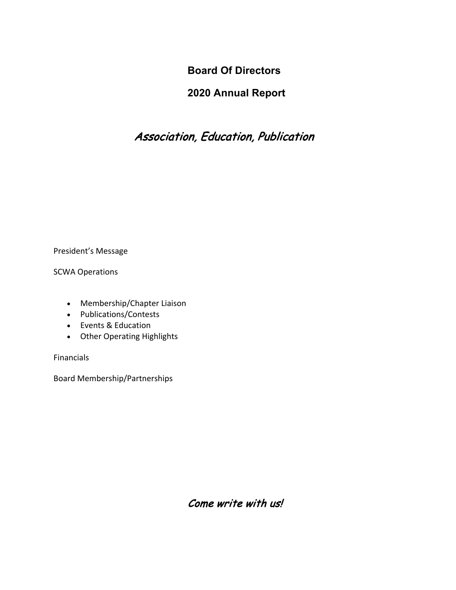**Board Of Directors**

# **2020 Annual Report**

# Association, Education, Publication

President's Message

SCWA Operations

- Membership/Chapter Liaison
- Publications/Contests
- Events & Education
- Other Operating Highlights

Financials

Board Membership/Partnerships

Come write with us!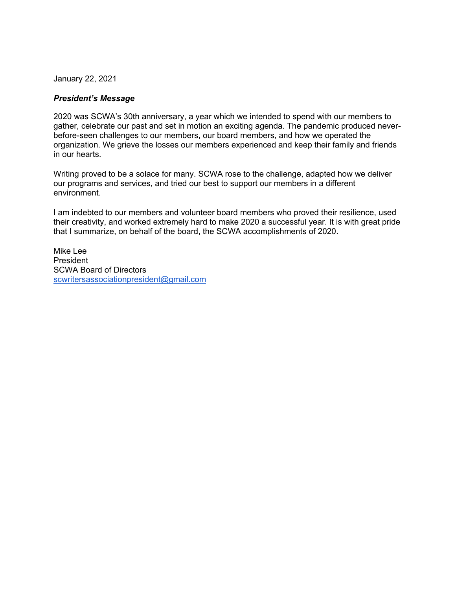January 22, 2021

#### *President's Message*

2020 was SCWA's 30th anniversary, a year which we intended to spend with our members to gather, celebrate our past and set in motion an exciting agenda. The pandemic produced neverbefore-seen challenges to our members, our board members, and how we operated the organization. We grieve the losses our members experienced and keep their family and friends in our hearts.

Writing proved to be a solace for many. SCWA rose to the challenge, adapted how we deliver our programs and services, and tried our best to support our members in a different environment.

I am indebted to our members and volunteer board members who proved their resilience, used their creativity, and worked extremely hard to make 2020 a successful year. It is with great pride that I summarize, on behalf of the board, the SCWA accomplishments of 2020.

Mike Lee President SCWA Board of Directors scwritersassociationpresident@gmail.com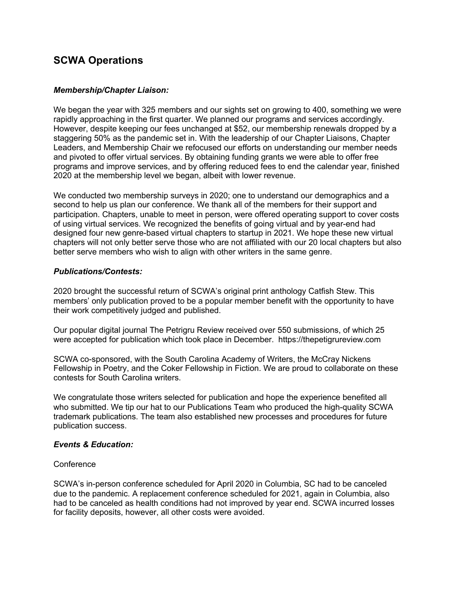## **SCWA Operations**

#### *Membership/Chapter Liaison:*

We began the year with 325 members and our sights set on growing to 400, something we were rapidly approaching in the first quarter. We planned our programs and services accordingly. However, despite keeping our fees unchanged at \$52, our membership renewals dropped by a staggering 50% as the pandemic set in. With the leadership of our Chapter Liaisons, Chapter Leaders, and Membership Chair we refocused our efforts on understanding our member needs and pivoted to offer virtual services. By obtaining funding grants we were able to offer free programs and improve services, and by offering reduced fees to end the calendar year, finished 2020 at the membership level we began, albeit with lower revenue.

We conducted two membership surveys in 2020; one to understand our demographics and a second to help us plan our conference. We thank all of the members for their support and participation. Chapters, unable to meet in person, were offered operating support to cover costs of using virtual services. We recognized the benefits of going virtual and by year-end had designed four new genre-based virtual chapters to startup in 2021. We hope these new virtual chapters will not only better serve those who are not affiliated with our 20 local chapters but also better serve members who wish to align with other writers in the same genre.

#### *Publications/Contests:*

2020 brought the successful return of SCWA's original print anthology Catfish Stew. This members' only publication proved to be a popular member benefit with the opportunity to have their work competitively judged and published.

Our popular digital journal The Petrigru Review received over 550 submissions, of which 25 were accepted for publication which took place in December. https://thepetigrureview.com

SCWA co-sponsored, with the South Carolina Academy of Writers, the McCray Nickens Fellowship in Poetry, and the Coker Fellowship in Fiction. We are proud to collaborate on these contests for South Carolina writers.

We congratulate those writers selected for publication and hope the experience benefited all who submitted. We tip our hat to our Publications Team who produced the high-quality SCWA trademark publications. The team also established new processes and procedures for future publication success.

#### *Events & Education:*

#### **Conference**

SCWA's in-person conference scheduled for April 2020 in Columbia, SC had to be canceled due to the pandemic. A replacement conference scheduled for 2021, again in Columbia, also had to be canceled as health conditions had not improved by year end. SCWA incurred losses for facility deposits, however, all other costs were avoided.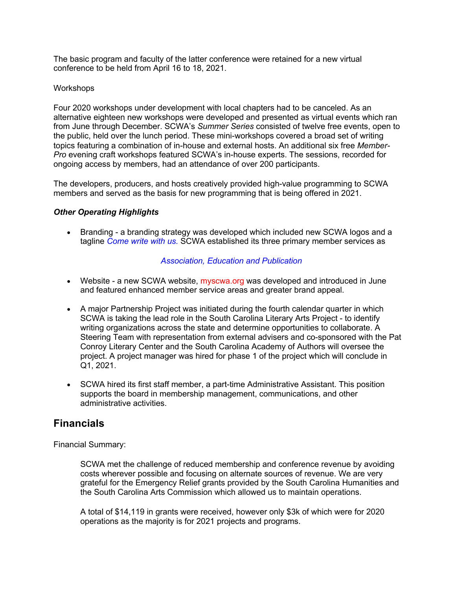The basic program and faculty of the latter conference were retained for a new virtual conference to be held from April 16 to 18, 2021.

#### Workshops

Four 2020 workshops under development with local chapters had to be canceled. As an alternative eighteen new workshops were developed and presented as virtual events which ran from June through December. SCWA's *Summer Series* consisted of twelve free events, open to the public, held over the lunch period. These mini-workshops covered a broad set of writing topics featuring a combination of in-house and external hosts. An additional six free *Member-Pro* evening craft workshops featured SCWA's in-house experts. The sessions, recorded for ongoing access by members, had an attendance of over 200 participants.

The developers, producers, and hosts creatively provided high-value programming to SCWA members and served as the basis for new programming that is being offered in 2021.

#### *Other Operating Highlights*

• Branding - a branding strategy was developed which included new SCWA logos and a tagline *Come write with us.* SCWA established its three primary member services as

#### *Association, Education and Publication*

- Website a new SCWA website, myscwa.org was developed and introduced in June and featured enhanced member service areas and greater brand appeal.
- A major Partnership Project was initiated during the fourth calendar quarter in which SCWA is taking the lead role in the South Carolina Literary Arts Project - to identify writing organizations across the state and determine opportunities to collaborate. A Steering Team with representation from external advisers and co-sponsored with the Pat Conroy Literary Center and the South Carolina Academy of Authors will oversee the project. A project manager was hired for phase 1 of the project which will conclude in Q1, 2021.
- SCWA hired its first staff member, a part-time Administrative Assistant. This position supports the board in membership management, communications, and other administrative activities.

### **Financials**

Financial Summary:

SCWA met the challenge of reduced membership and conference revenue by avoiding costs wherever possible and focusing on alternate sources of revenue. We are very grateful for the Emergency Relief grants provided by the South Carolina Humanities and the South Carolina Arts Commission which allowed us to maintain operations.

A total of \$14,119 in grants were received, however only \$3k of which were for 2020 operations as the majority is for 2021 projects and programs.